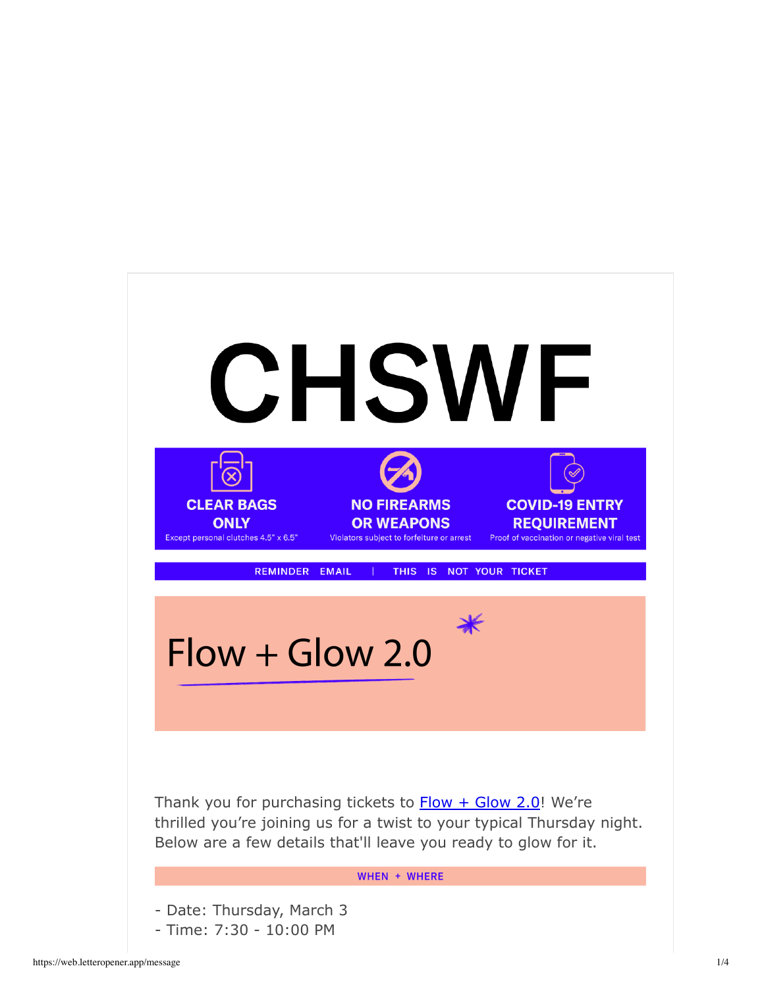

- Time: 7:30 - 10:00 PM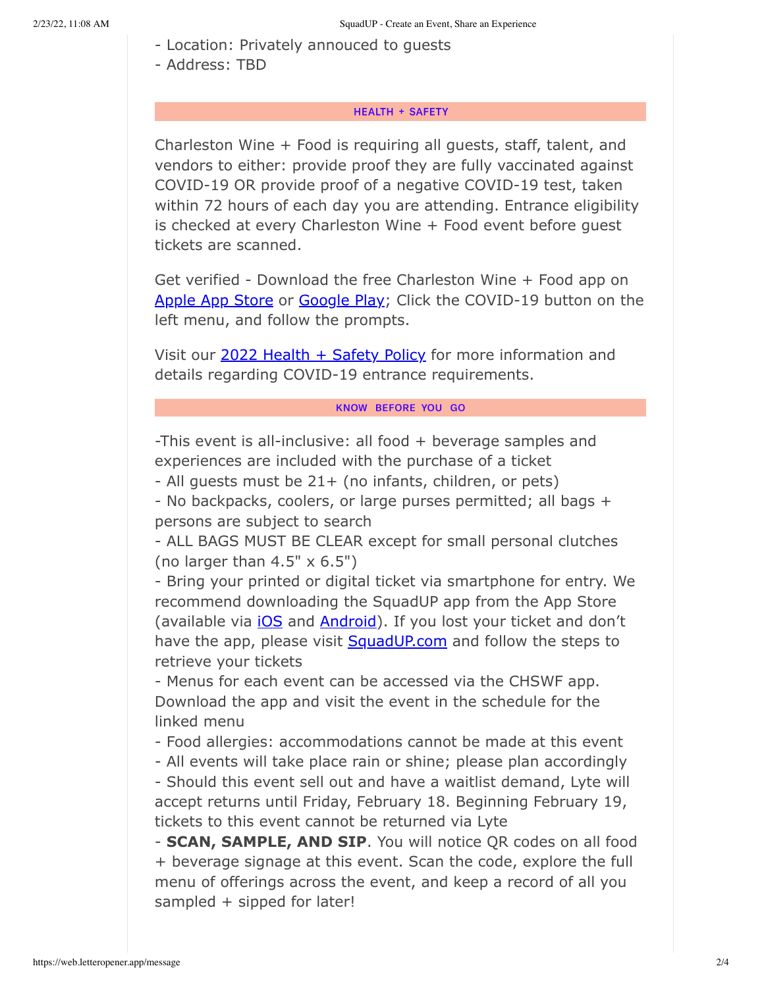- Location: Privately annouced to guests
- Address: TBD

### **HEALTH + SAFETY**

Charleston Wine + Food is requiring all guests, staff, talent, and vendors to either: provide proof they are fully vaccinated against COVID-19 OR provide proof of a negative COVID-19 test, taken within 72 hours of each day you are attending. Entrance eligibility is checked at every Charleston Wine + Food event before guest tickets are scanned.

Get verified - Download the free Charleston Wine + Food app on Apple App Store or Google Play; Click the COVID-19 button on the left menu, and follow the prompts.

Visit our  $2022$  Health + Safety Policy for more information and details regarding COVID-19 entrance requirements.

### KNOW BEFORE YOU GO

-This event is all-inclusive: all food + beverage samples and experiences are included with the purchase of a ticket

- All guests must be 21+ (no infants, children, or pets)

- No backpacks, coolers, or large purses permitted; all bags + persons are subject to search

- ALL BAGS MUST BE CLEAR except for small personal clutches (no larger than  $4.5" \times 6.5"$ )

- Bring your printed or digital ticket via smartphone for entry. We recommend downloading the SquadUP app from the App Store (available via *iOS* and **Android**). If you lost your ticket and don't have the app, please visit SquadUP.com and follow the steps to retrieve your tickets

- Menus for each event can be accessed via the CHSWF app. Download the app and visit the event in the schedule for the linked menu

- Food allergies: accommodations cannot be made at this event
- All events will take place rain or shine; please plan accordingly

- Should this event sell out and have a waitlist demand, Lyte will accept returns until Friday, February 18. Beginning February 19, tickets to this event cannot be returned via Lyte

- **SCAN, SAMPLE, AND SIP**. You will notice QR codes on all food + beverage signage at this event. Scan the code, explore the full menu of offerings across the event, and keep a record of all you sampled + sipped for later!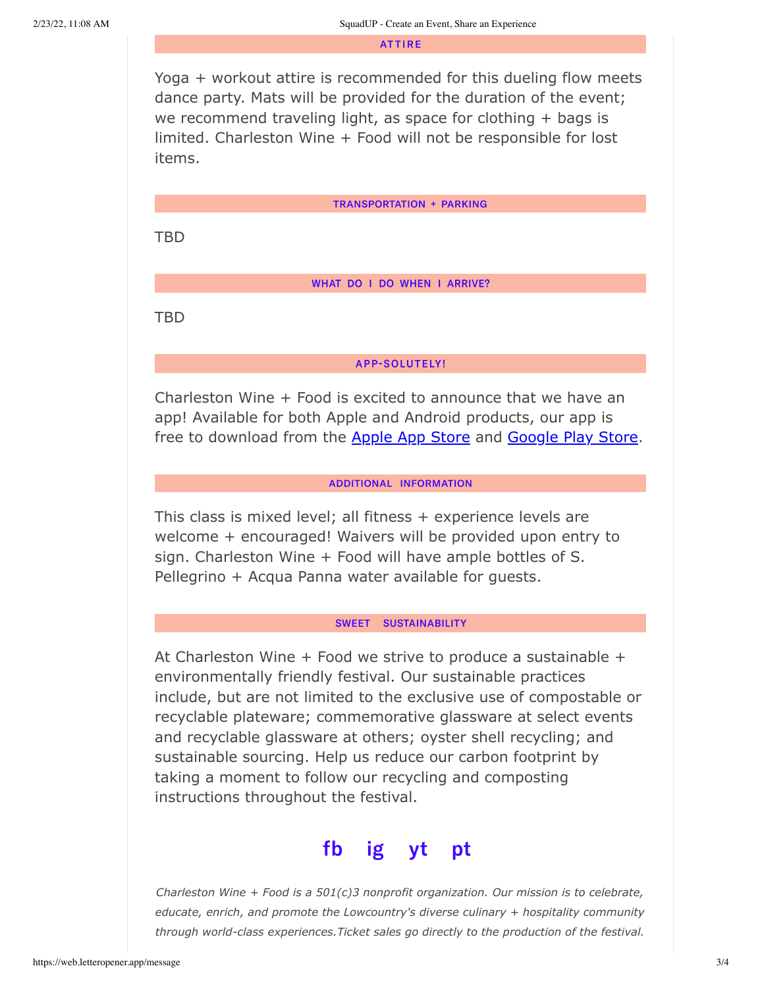#### **ATTIRE**

Yoga + workout attire is recommended for this dueling flow meets dance party. Mats will be provided for the duration of the event; we recommend traveling light, as space for clothing + bags is limited. Charleston Wine + Food will not be responsible for lost items.

### **TRANSPORTATION + PARKING**

**TBD** 

### WHAT DO I DO WHEN I ARRIVE?

TBD

## **APP-SOLUTELY!**

Charleston Wine + Food is excited to announce that we have an app! Available for both Apple and Android products, our app is free to download from the **Apple App Store** and **Google Play Store**.

### **ADDITIONAL INFORMATION**

This class is mixed level; all fitness + experience levels are welcome + encouraged! Waivers will be provided upon entry to sign. Charleston Wine + Food will have ample bottles of S. Pellegrino + Acqua Panna water available for guests.

### SWEET SUSTAINABILITY

At Charleston Wine + Food we strive to produce a sustainable + environmentally friendly festival. Our sustainable practices include, but are not limited to the exclusive use of compostable or recyclable plateware; commemorative glassware at select events and recyclable glassware at others; oyster shell recycling; and sustainable sourcing. Help us reduce our carbon footprint by taking a moment to follow our recycling and composting instructions throughout the festival.



*Charleston Wine + Food is a 501(c)3 nonprofit organization. Our mission is to celebrate, educate, enrich, and promote the Lowcountry's diverse culinary + hospitality community through world-class experiences.Ticket sales go directly to the production of the festival.*